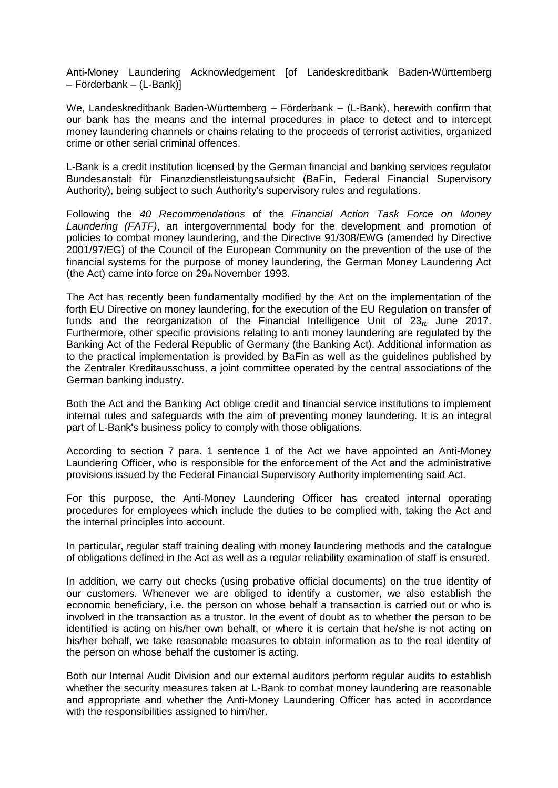Anti-Money Laundering Acknowledgement [of Landeskreditbank Baden-Württemberg – Förderbank – (L-Bank)]

We, Landeskreditbank Baden-Württemberg – Förderbank – (L-Bank), herewith confirm that our bank has the means and the internal procedures in place to detect and to intercept money laundering channels or chains relating to the proceeds of terrorist activities, organized crime or other serial criminal offences.

L-Bank is a credit institution licensed by the German financial and banking services regulator Bundesanstalt für Finanzdienstleistungsaufsicht (BaFin, Federal Financial Supervisory Authority), being subject to such Authority's supervisory rules and regulations.

Following the *40 Recommendations* of the *Financial Action Task Force on Money Laundering (FATF)*, an intergovernmental body for the development and promotion of policies to combat money laundering, and the Directive 91/308/EWG (amended by Directive 2001/97/EG) of the Council of the European Community on the prevention of the use of the financial systems for the purpose of money laundering, the German Money Laundering Act (the Act) came into force on  $29<sub>th</sub>$  November 1993.

The Act has recently been fundamentally modified by the Act on the implementation of the forth EU Directive on money laundering, for the execution of the EU Regulation on transfer of funds and the reorganization of the Financial Intelligence Unit of  $23<sub>rd</sub>$  June 2017. Furthermore, other specific provisions relating to anti money laundering are regulated by the Banking Act of the Federal Republic of Germany (the Banking Act). Additional information as to the practical implementation is provided by BaFin as well as the guidelines published by the Zentraler Kreditausschuss, a joint committee operated by the central associations of the German banking industry.

Both the Act and the Banking Act oblige credit and financial service institutions to implement internal rules and safeguards with the aim of preventing money laundering. It is an integral part of L-Bank's business policy to comply with those obligations.

According to section 7 para. 1 sentence 1 of the Act we have appointed an Anti-Money Laundering Officer, who is responsible for the enforcement of the Act and the administrative provisions issued by the Federal Financial Supervisory Authority implementing said Act.

For this purpose, the Anti-Money Laundering Officer has created internal operating procedures for employees which include the duties to be complied with, taking the Act and the internal principles into account.

In particular, regular staff training dealing with money laundering methods and the catalogue of obligations defined in the Act as well as a regular reliability examination of staff is ensured.

In addition, we carry out checks (using probative official documents) on the true identity of our customers. Whenever we are obliged to identify a customer, we also establish the economic beneficiary, i.e. the person on whose behalf a transaction is carried out or who is involved in the transaction as a trustor. In the event of doubt as to whether the person to be identified is acting on his/her own behalf, or where it is certain that he/she is not acting on his/her behalf, we take reasonable measures to obtain information as to the real identity of the person on whose behalf the customer is acting.

Both our Internal Audit Division and our external auditors perform regular audits to establish whether the security measures taken at L-Bank to combat money laundering are reasonable and appropriate and whether the Anti-Money Laundering Officer has acted in accordance with the responsibilities assigned to him/her.